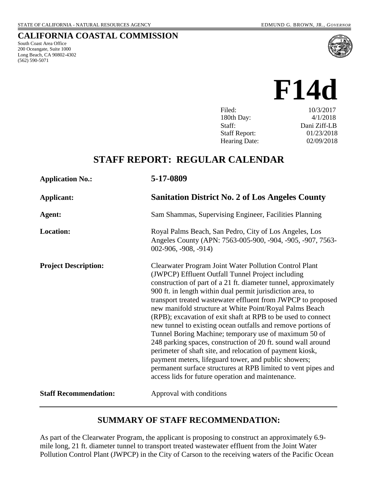South Coast Area Office 200 Oceangate, Suite 1000 Long Beach, CA 90802-4302

(562) 590-5071

**CALIFORNIA COASTAL COMMISSION**

# **F14d**

| 10/3/2017    |
|--------------|
| 4/1/2018     |
| Dani Ziff-LB |
| 01/23/2018   |
| 02/09/2018   |
|              |

## **STAFF REPORT: REGULAR CALENDAR**

| <b>Application No.:</b>      | 5-17-0809                                                                                                                                                                                                                                                                                                                                                                                                                                                                                                                                                                                                                                                                                                                                                                                                                                                                   |
|------------------------------|-----------------------------------------------------------------------------------------------------------------------------------------------------------------------------------------------------------------------------------------------------------------------------------------------------------------------------------------------------------------------------------------------------------------------------------------------------------------------------------------------------------------------------------------------------------------------------------------------------------------------------------------------------------------------------------------------------------------------------------------------------------------------------------------------------------------------------------------------------------------------------|
| Applicant:                   | <b>Sanitation District No. 2 of Los Angeles County</b>                                                                                                                                                                                                                                                                                                                                                                                                                                                                                                                                                                                                                                                                                                                                                                                                                      |
| Agent:                       | Sam Shammas, Supervising Engineer, Facilities Planning                                                                                                                                                                                                                                                                                                                                                                                                                                                                                                                                                                                                                                                                                                                                                                                                                      |
| <b>Location:</b>             | Royal Palms Beach, San Pedro, City of Los Angeles, Los<br>Angeles County (APN: 7563-005-900, -904, -905, -907, 7563-<br>$002-906, -908, -914)$                                                                                                                                                                                                                                                                                                                                                                                                                                                                                                                                                                                                                                                                                                                              |
| <b>Project Description:</b>  | Clearwater Program Joint Water Pollution Control Plant<br>(JWPCP) Effluent Outfall Tunnel Project including<br>construction of part of a 21 ft. diameter tunnel, approximately<br>900 ft. in length within dual permit jurisdiction area, to<br>transport treated wastewater effluent from JWPCP to proposed<br>new manifold structure at White Point/Royal Palms Beach<br>(RPB); excavation of exit shaft at RPB to be used to connect<br>new tunnel to existing ocean outfalls and remove portions of<br>Tunnel Boring Machine; temporary use of maximum 50 of<br>248 parking spaces, construction of 20 ft. sound wall around<br>perimeter of shaft site, and relocation of payment kiosk,<br>payment meters, lifeguard tower, and public showers;<br>permanent surface structures at RPB limited to vent pipes and<br>access lids for future operation and maintenance. |
| <b>Staff Recommendation:</b> | Approval with conditions                                                                                                                                                                                                                                                                                                                                                                                                                                                                                                                                                                                                                                                                                                                                                                                                                                                    |

## **SUMMARY OF STAFF RECOMMENDATION:**

As part of the Clearwater Program, the applicant is proposing to construct an approximately 6.9 mile long, 21 ft. diameter tunnel to transport treated wastewater effluent from the Joint Water Pollution Control Plant (JWPCP) in the City of Carson to the receiving waters of the Pacific Ocean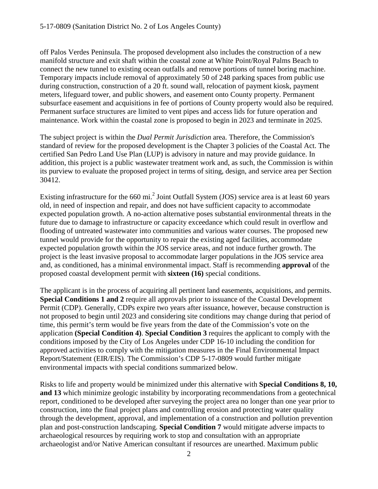off Palos Verdes Peninsula. The proposed development also includes the construction of a new manifold structure and exit shaft within the coastal zone at White Point/Royal Palms Beach to connect the new tunnel to existing ocean outfalls and remove portions of tunnel boring machine. Temporary impacts include removal of approximately 50 of 248 parking spaces from public use during construction, construction of a 20 ft. sound wall, relocation of payment kiosk, payment meters, lifeguard tower, and public showers, and easement onto County property. Permanent subsurface easement and acquisitions in fee of portions of County property would also be required. Permanent surface structures are limited to vent pipes and access lids for future operation and maintenance. Work within the coastal zone is proposed to begin in 2023 and terminate in 2025.

The subject project is within the *Dual Permit Jurisdiction* area. Therefore, the Commission's standard of review for the proposed development is the Chapter 3 policies of the Coastal Act. The certified San Pedro Land Use Plan (LUP) is advisory in nature and may provide guidance. In addition, this project is a public wastewater treatment work and, as such, the Commission is within its purview to evaluate the proposed project in terms of siting, design, and service area per Section 30412.

Existing infrastructure for the 660 mi.<sup>2</sup> Joint Outfall System (JOS) service area is at least 60 years old, in need of inspection and repair, and does not have sufficient capacity to accommodate expected population growth. A no-action alternative poses substantial environmental threats in the future due to damage to infrastructure or capacity exceedance which could result in overflow and flooding of untreated wastewater into communities and various water courses. The proposed new tunnel would provide for the opportunity to repair the existing aged facilities, accommodate expected population growth within the JOS service areas, and not induce further growth. The project is the least invasive proposal to accommodate larger populations in the JOS service area and, as conditioned, has a minimal environmental impact. Staff is recommending **approval** of the proposed coastal development permit with **sixteen (16)** special conditions.

The applicant is in the process of acquiring all pertinent land easements, acquisitions, and permits. **Special Conditions 1 and 2** require all approvals prior to issuance of the Coastal Development Permit (CDP). Generally, CDPs expire two years after issuance, however, because construction is not proposed to begin until 2023 and considering site conditions may change during that period of time, this permit's term would be five years from the date of the Commission's vote on the application **(Special Condition 4)**. **Special Condition 3** requires the applicant to comply with the conditions imposed by the City of Los Angeles under CDP 16-10 including the condition for approved activities to comply with the mitigation measures in the Final Environmental Impact Report/Statement (EIR/EIS). The Commission's CDP 5-17-0809 would further mitigate environmental impacts with special conditions summarized below.

Risks to life and property would be minimized under this alternative with **Special Conditions 8, 10, and 13** which minimize geologic instability by incorporating recommendations from a geotechnical report, conditioned to be developed after surveying the project area no longer than one year prior to construction, into the final project plans and controlling erosion and protecting water quality through the development, approval, and implementation of a construction and pollution prevention plan and post-construction landscaping. **Special Condition 7** would mitigate adverse impacts to archaeological resources by requiring work to stop and consultation with an appropriate archaeologist and/or Native American consultant if resources are unearthed. Maximum public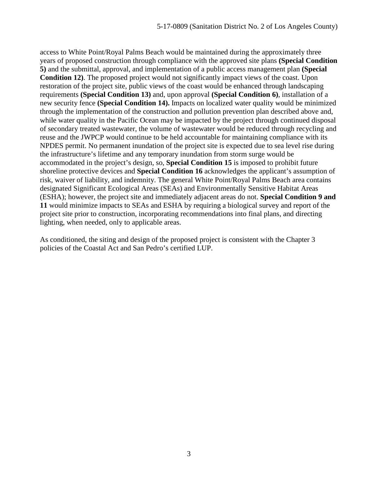access to White Point/Royal Palms Beach would be maintained during the approximately three years of proposed construction through compliance with the approved site plans **(Special Condition 5)** and the submittal, approval, and implementation of a public access management plan **(Special Condition 12)**. The proposed project would not significantly impact views of the coast. Upon restoration of the project site, public views of the coast would be enhanced through landscaping requirements **(Special Condition 13)** and, upon approval **(Special Condition 6)**, installation of a new security fence **(Special Condition 14).** Impacts on localized water quality would be minimized through the implementation of the construction and pollution prevention plan described above and, while water quality in the Pacific Ocean may be impacted by the project through continued disposal of secondary treated wastewater, the volume of wastewater would be reduced through recycling and reuse and the JWPCP would continue to be held accountable for maintaining compliance with its NPDES permit. No permanent inundation of the project site is expected due to sea level rise during the infrastructure's lifetime and any temporary inundation from storm surge would be accommodated in the project's design, so, **Special Condition 15** is imposed to prohibit future shoreline protective devices and **Special Condition 16** acknowledges the applicant's assumption of risk, waiver of liability, and indemnity. The general White Point/Royal Palms Beach area contains designated Significant Ecological Areas (SEAs) and Environmentally Sensitive Habitat Areas (ESHA); however, the project site and immediately adjacent areas do not. **Special Condition 9 and 11** would minimize impacts to SEAs and ESHA by requiring a biological survey and report of the project site prior to construction, incorporating recommendations into final plans, and directing lighting, when needed, only to applicable areas.

As conditioned, the siting and design of the proposed project is consistent with the Chapter 3 policies of the Coastal Act and San Pedro's certified LUP.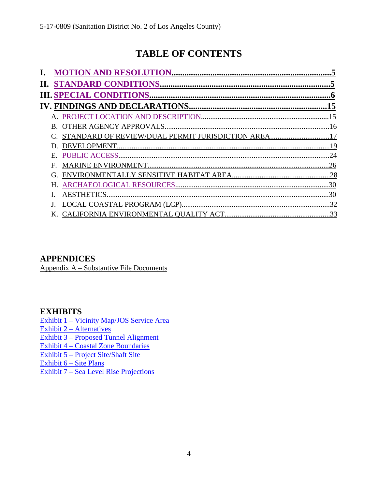## **TABLE OF CONTENTS**

| OTHER AGENCY APPROVALS.                          |     |
|--------------------------------------------------|-----|
| STANDARD OF REVIEW/DUAL PERMIT JURISDICTION AREA |     |
|                                                  | 19  |
| <b>PUBLIC ACCESS</b>                             | 24  |
|                                                  | 26  |
| СŤ.                                              | .28 |
|                                                  |     |
| <b>AESTHETICS</b>                                |     |
|                                                  | 32  |
| CALIFORNIA ENVIRONMENTAL OUALITY ACT             | 33  |

## **APPENDICES**

[Appendix A – Substantive File Documents](#page-32-1)

## **EXHIBITS**

Exhibit 1 – Vicinity Map/JOS Service Area Exhibit 2 – Alternatives Exhibit 3 – Proposed Tunnel Alignment Exhibit 4 – Coastal Zone Boundaries Exhibit 5 – Project Site/Shaft Site Exhibit 6 – Site Plans Exhibit 7 – Sea Level Rise Projections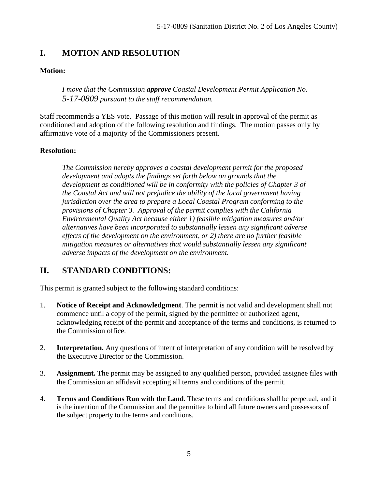## <span id="page-4-0"></span>**I. MOTION AND RESOLUTION**

#### **Motion:**

*I move that the Commission approve Coastal Development Permit Application No. 5-17-0809 pursuant to the staff recommendation.*

Staff recommends a YES vote. Passage of this motion will result in approval of the permit as conditioned and adoption of the following resolution and findings. The motion passes only by affirmative vote of a majority of the Commissioners present.

#### **Resolution:**

*The Commission hereby approves a coastal development permit for the proposed development and adopts the findings set forth below on grounds that the development as conditioned will be in conformity with the policies of Chapter 3 of the Coastal Act and will not prejudice the ability of the local government having jurisdiction over the area to prepare a Local Coastal Program conforming to the provisions of Chapter 3. Approval of the permit complies with the California Environmental Quality Act because either 1) feasible mitigation measures and/or alternatives have been incorporated to substantially lessen any significant adverse effects of the development on the environment, or 2) there are no further feasible mitigation measures or alternatives that would substantially lessen any significant adverse impacts of the development on the environment.* 

## <span id="page-4-1"></span>**II. STANDARD CONDITIONS:**

This permit is granted subject to the following standard conditions:

- 1. **Notice of Receipt and Acknowledgment**. The permit is not valid and development shall not commence until a copy of the permit, signed by the permittee or authorized agent, acknowledging receipt of the permit and acceptance of the terms and conditions, is returned to the Commission office.
- 2. **Interpretation.** Any questions of intent of interpretation of any condition will be resolved by the Executive Director or the Commission.
- 3. **Assignment.** The permit may be assigned to any qualified person, provided assignee files with the Commission an affidavit accepting all terms and conditions of the permit.
- 4. **Terms and Conditions Run with the Land.** These terms and conditions shall be perpetual, and it is the intention of the Commission and the permittee to bind all future owners and possessors of the subject property to the terms and conditions.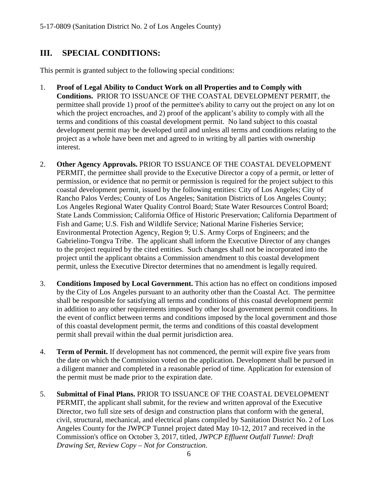## <span id="page-5-0"></span>**III. SPECIAL CONDITIONS:**

This permit is granted subject to the following special conditions:

- 1. **Proof of Legal Ability to Conduct Work on all Properties and to Comply with Conditions.** PRIOR TO ISSUANCE OF THE COASTAL DEVELOPMENT PERMIT, the permittee shall provide 1) proof of the permittee's ability to carry out the project on any lot on which the project encroaches, and 2) proof of the applicant's ability to comply with all the terms and conditions of this coastal development permit. No land subject to this coastal development permit may be developed until and unless all terms and conditions relating to the project as a whole have been met and agreed to in writing by all parties with ownership interest.
- 2. **Other Agency Approvals.** PRIOR TO ISSUANCE OF THE COASTAL DEVELOPMENT PERMIT, the permittee shall provide to the Executive Director a copy of a permit, or letter of permission, or evidence that no permit or permission is required for the project subject to this coastal development permit, issued by the following entities: City of Los Angeles; City of Rancho Palos Verdes; County of Los Angeles; Sanitation Districts of Los Angeles County; Los Angeles Regional Water Quality Control Board; State Water Resources Control Board; State Lands Commission; California Office of Historic Preservation; California Department of Fish and Game; U.S. Fish and Wildlife Service; National Marine Fisheries Service; Environmental Protection Agency, Region 9; U.S. Army Corps of Engineers; and the Gabrielino-Tongva Tribe. The applicant shall inform the Executive Director of any changes to the project required by the cited entities. Such changes shall not be incorporated into the project until the applicant obtains a Commission amendment to this coastal development permit, unless the Executive Director determines that no amendment is legally required.
- 3. **Conditions Imposed by Local Government.** This action has no effect on conditions imposed by the City of Los Angeles pursuant to an authority other than the Coastal Act. The permittee shall be responsible for satisfying all terms and conditions of this coastal development permit in addition to any other requirements imposed by other local government permit conditions. In the event of conflict between terms and conditions imposed by the local government and those of this coastal development permit, the terms and conditions of this coastal development permit shall prevail within the dual permit jurisdiction area.
- 4. **Term of Permit.** If development has not commenced, the permit will expire five years from the date on which the Commission voted on the application. Development shall be pursued in a diligent manner and completed in a reasonable period of time. Application for extension of the permit must be made prior to the expiration date.
- 5. **Submittal of Final Plans.** PRIOR TO ISSUANCE OF THE COASTAL DEVELOPMENT PERMIT, the applicant shall submit, for the review and written approval of the Executive Director, two full size sets of design and construction plans that conform with the general, civil, structural, mechanical, and electrical plans compiled by Sanitation District No. 2 of Los Angeles County for the JWPCP Tunnel project dated May 10-12, 2017 and received in the Commission's office on October 3, 2017, titled, *JWPCP Effluent Outfall Tunnel: Draft Drawing Set, Review Copy – Not for Construction*.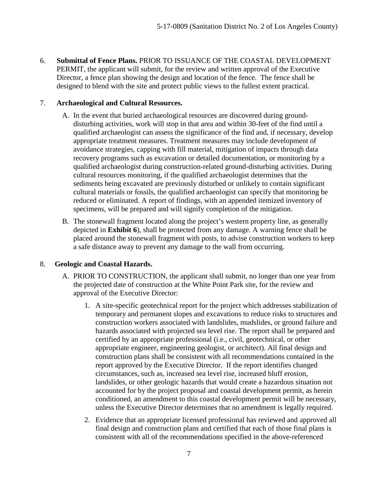6. **Submittal of Fence Plans.** PRIOR TO ISSUANCE OF THE COASTAL DEVELOPMENT PERMIT, the applicant will submit, for the review and written approval of the Executive Director, a fence plan showing the design and location of the fence. The fence shall be designed to blend with the site and protect public views to the fullest extent practical.

#### 7. **Archaeological and Cultural Resources.**

- A. In the event that buried archaeological resources are discovered during grounddisturbing activities, work will stop in that area and within 30-feet of the find until a qualified archaeologist can assess the significance of the find and, if necessary, develop appropriate treatment measures. Treatment measures may include development of avoidance strategies, capping with fill material, mitigation of impacts through data recovery programs such as excavation or detailed documentation, or monitoring by a qualified archaeologist during construction-related ground-disturbing activities. During cultural resources monitoring, if the qualified archaeologist determines that the sediments being excavated are previously disturbed or unlikely to contain significant cultural materials or fossils, the qualified archaeologist can specify that monitoring be reduced or eliminated. A report of findings, with an appended itemized inventory of specimens, will be prepared and will signify completion of the mitigation.
- B. The stonewall fragment located along the project's western property line, as generally depicted in **Exhibit 6**), shall be protected from any damage. A warning fence shall be placed around the stonewall fragment with posts, to advise construction workers to keep a safe distance away to prevent any damage to the wall from occurring.

#### 8. **Geologic and Coastal Hazards.**

- A. PRIOR TO CONSTRUCTION, the applicant shall submit, no longer than one year from the projected date of construction at the White Point Park site, for the review and approval of the Executive Director:
	- 1. A site-specific geotechnical report for the project which addresses stabilization of temporary and permanent slopes and excavations to reduce risks to structures and construction workers associated with landslides, mudslides, or ground failure and hazards associated with projected sea level rise. The report shall be prepared and certified by an appropriate professional (i.e., civil, geotechnical, or other appropriate engineer, engineering geologist, or architect). All final design and construction plans shall be consistent with all recommendations contained in the report approved by the Executive Director. If the report identifies changed circumstances, such as, increased sea level rise, increased bluff erosion, landslides, or other geologic hazards that would create a hazardous situation not accounted for by the project proposal and coastal development permit, as herein conditioned, an amendment to this coastal development permit will be necessary, unless the Executive Director determines that no amendment is legally required.
	- 2. Evidence that an appropriate licensed professional has reviewed and approved all final design and construction plans and certified that each of those final plans is consistent with all of the recommendations specified in the above-referenced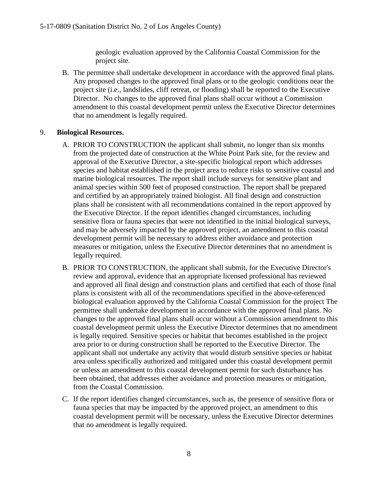geologic evaluation approved by the California Coastal Commission for the project site.

B. The permittee shall undertake development in accordance with the approved final plans. Any proposed changes to the approved final plans or to the geologic conditions near the project site (i.e., landslides, cliff retreat, or flooding) shall be reported to the Executive Director. No changes to the approved final plans shall occur without a Commission amendment to this coastal development permit unless the Executive Director determines that no amendment is legally required.

#### 9. **Biological Resources.**

- A. PRIOR TO CONSTRUCTION the applicant shall submit, no longer than six months from the projected date of construction at the White Point Park site, for the review and approval of the Executive Director, a site-specific biological report which addresses species and habitat established in the project area to reduce risks to sensitive coastal and marine biological resources. The report shall include surveys for sensitive plant and animal species within 500 feet of proposed construction. The report shall be prepared and certified by an appropriately trained biologist. All final design and construction plans shall be consistent with all recommendations contained in the report approved by the Executive Director. If the report identifies changed circumstances, including sensitive flora or fauna species that were not identified in the initial biological surveys, and may be adversely impacted by the approved project, an amendment to this coastal development permit will be necessary to address either avoidance and protection measures or mitigation, unless the Executive Director determines that no amendment is legally required.
- B. PRIOR TO CONSTRUCTION, the applicant shall submit, for the Executive Director's review and approval, evidence that an appropriate licensed professional has reviewed and approved all final design and construction plans and certified that each of those final plans is consistent with all of the recommendations specified in the above-referenced biological evaluation approved by the California Coastal Commission for the project The permittee shall undertake development in accordance with the approved final plans. No changes to the approved final plans shall occur without a Commission amendment to this coastal development permit unless the Executive Director determines that no amendment is legally required. Sensitive species or habitat that becomes established in the project area prior to or during construction shall be reported to the Executive Director. The applicant shall not undertake any activity that would disturb sensitive species or habitat area unless specifically authorized and mitigated under this coastal development permit or unless an amendment to this coastal development permit for such disturbance has been obtained, that addresses either avoidance and protection measures or mitigation, from the Coastal Commission.
- C. If the report identifies changed circumstances, such as, the presence of sensitive flora or fauna species that may be impacted by the approved project, an amendment to this coastal development permit will be necessary, unless the Executive Director determines that no amendment is legally required.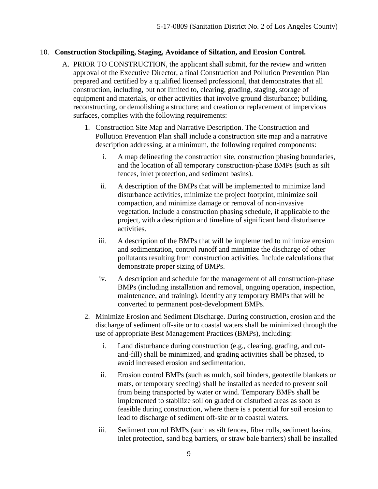#### 10. **Construction Stockpiling, Staging, Avoidance of Siltation, and Erosion Control.**

- A. PRIOR TO CONSTRUCTION, the applicant shall submit, for the review and written approval of the Executive Director, a final Construction and Pollution Prevention Plan prepared and certified by a qualified licensed professional, that demonstrates that all construction, including, but not limited to, clearing, grading, staging, storage of equipment and materials, or other activities that involve ground disturbance; building, reconstructing, or demolishing a structure; and creation or replacement of impervious surfaces, complies with the following requirements:
	- 1. Construction Site Map and Narrative Description. The Construction and Pollution Prevention Plan shall include a construction site map and a narrative description addressing, at a minimum, the following required components:
		- i. A map delineating the construction site, construction phasing boundaries, and the location of all temporary construction-phase BMPs (such as silt fences, inlet protection, and sediment basins).
		- ii. A description of the BMPs that will be implemented to minimize land disturbance activities, minimize the project footprint, minimize soil compaction, and minimize damage or removal of non-invasive vegetation. Include a construction phasing schedule, if applicable to the project, with a description and timeline of significant land disturbance activities.
		- iii. A description of the BMPs that will be implemented to minimize erosion and sedimentation, control runoff and minimize the discharge of other pollutants resulting from construction activities. Include calculations that demonstrate proper sizing of BMPs.
		- iv. A description and schedule for the management of all construction-phase BMPs (including installation and removal, ongoing operation, inspection, maintenance, and training). Identify any temporary BMPs that will be converted to permanent post-development BMPs.
	- 2. Minimize Erosion and Sediment Discharge. During construction, erosion and the discharge of sediment off-site or to coastal waters shall be minimized through the use of appropriate Best Management Practices (BMPs), including:
		- i. Land disturbance during construction (e.g., clearing, grading, and cutand-fill) shall be minimized, and grading activities shall be phased, to avoid increased erosion and sedimentation.
		- ii. Erosion control BMPs (such as mulch, soil binders, geotextile blankets or mats, or temporary seeding) shall be installed as needed to prevent soil from being transported by water or wind. Temporary BMPs shall be implemented to stabilize soil on graded or disturbed areas as soon as feasible during construction, where there is a potential for soil erosion to lead to discharge of sediment off-site or to coastal waters.
		- iii. Sediment control BMPs (such as silt fences, fiber rolls, sediment basins, inlet protection, sand bag barriers, or straw bale barriers) shall be installed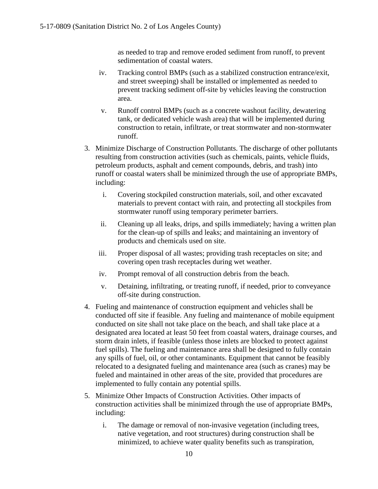as needed to trap and remove eroded sediment from runoff, to prevent sedimentation of coastal waters.

- iv. Tracking control BMPs (such as a stabilized construction entrance/exit, and street sweeping) shall be installed or implemented as needed to prevent tracking sediment off-site by vehicles leaving the construction area.
- v. Runoff control BMPs (such as a concrete washout facility, dewatering tank, or dedicated vehicle wash area) that will be implemented during construction to retain, infiltrate, or treat stormwater and non-stormwater runoff.
- 3. Minimize Discharge of Construction Pollutants. The discharge of other pollutants resulting from construction activities (such as chemicals, paints, vehicle fluids, petroleum products, asphalt and cement compounds, debris, and trash) into runoff or coastal waters shall be minimized through the use of appropriate BMPs, including:
	- i. Covering stockpiled construction materials, soil, and other excavated materials to prevent contact with rain, and protecting all stockpiles from stormwater runoff using temporary perimeter barriers.
	- ii. Cleaning up all leaks, drips, and spills immediately; having a written plan for the clean-up of spills and leaks; and maintaining an inventory of products and chemicals used on site.
	- iii. Proper disposal of all wastes; providing trash receptacles on site; and covering open trash receptacles during wet weather.
	- iv. Prompt removal of all construction debris from the beach.
	- v. Detaining, infiltrating, or treating runoff, if needed, prior to conveyance off-site during construction.
- 4. Fueling and maintenance of construction equipment and vehicles shall be conducted off site if feasible. Any fueling and maintenance of mobile equipment conducted on site shall not take place on the beach, and shall take place at a designated area located at least 50 feet from coastal waters, drainage courses, and storm drain inlets, if feasible (unless those inlets are blocked to protect against fuel spills). The fueling and maintenance area shall be designed to fully contain any spills of fuel, oil, or other contaminants. Equipment that cannot be feasibly relocated to a designated fueling and maintenance area (such as cranes) may be fueled and maintained in other areas of the site, provided that procedures are implemented to fully contain any potential spills.
- 5. Minimize Other Impacts of Construction Activities. Other impacts of construction activities shall be minimized through the use of appropriate BMPs, including:
	- i. The damage or removal of non-invasive vegetation (including trees, native vegetation, and root structures) during construction shall be minimized, to achieve water quality benefits such as transpiration,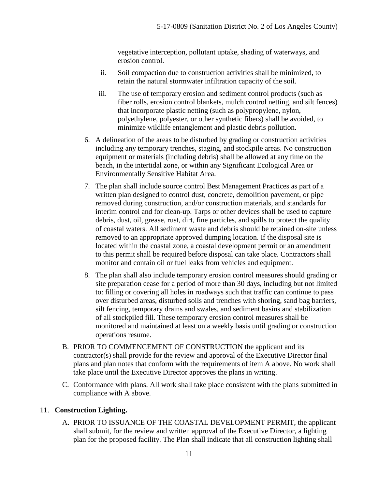vegetative interception, pollutant uptake, shading of waterways, and erosion control.

- ii. Soil compaction due to construction activities shall be minimized, to retain the natural stormwater infiltration capacity of the soil.
- iii. The use of temporary erosion and sediment control products (such as fiber rolls, erosion control blankets, mulch control netting, and silt fences) that incorporate plastic netting (such as polypropylene, nylon, polyethylene, polyester, or other synthetic fibers) shall be avoided, to minimize wildlife entanglement and plastic debris pollution.
- 6. A delineation of the areas to be disturbed by grading or construction activities including any temporary trenches, staging, and stockpile areas. No construction equipment or materials (including debris) shall be allowed at any time on the beach, in the intertidal zone, or within any Significant Ecological Area or Environmentally Sensitive Habitat Area.
- 7. The plan shall include source control Best Management Practices as part of a written plan designed to control dust, concrete, demolition pavement, or pipe removed during construction, and/or construction materials, and standards for interim control and for clean-up. Tarps or other devices shall be used to capture debris, dust, oil, grease, rust, dirt, fine particles, and spills to protect the quality of coastal waters. All sediment waste and debris should be retained on-site unless removed to an appropriate approved dumping location. If the disposal site is located within the coastal zone, a coastal development permit or an amendment to this permit shall be required before disposal can take place. Contractors shall monitor and contain oil or fuel leaks from vehicles and equipment.
- 8. The plan shall also include temporary erosion control measures should grading or site preparation cease for a period of more than 30 days, including but not limited to: filling or covering all holes in roadways such that traffic can continue to pass over disturbed areas, disturbed soils and trenches with shoring, sand bag barriers, silt fencing, temporary drains and swales, and sediment basins and stabilization of all stockpiled fill. These temporary erosion control measures shall be monitored and maintained at least on a weekly basis until grading or construction operations resume.
- B. PRIOR TO COMMENCEMENT OF CONSTRUCTION the applicant and its contractor(s) shall provide for the review and approval of the Executive Director final plans and plan notes that conform with the requirements of item A above. No work shall take place until the Executive Director approves the plans in writing.
- C. Conformance with plans. All work shall take place consistent with the plans submitted in compliance with A above.

#### 11. **Construction Lighting.**

A. PRIOR TO ISSUANCE OF THE COASTAL DEVELOPMENT PERMIT, the applicant shall submit, for the review and written approval of the Executive Director, a lighting plan for the proposed facility. The Plan shall indicate that all construction lighting shall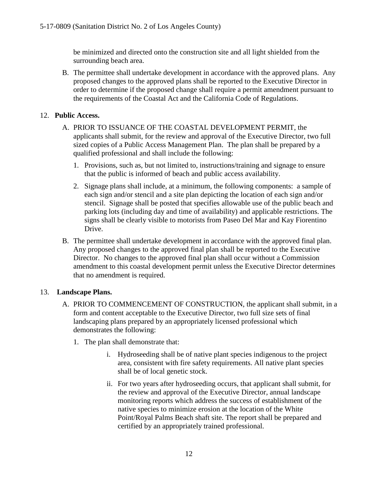be minimized and directed onto the construction site and all light shielded from the surrounding beach area.

B. The permittee shall undertake development in accordance with the approved plans. Any proposed changes to the approved plans shall be reported to the Executive Director in order to determine if the proposed change shall require a permit amendment pursuant to the requirements of the Coastal Act and the California Code of Regulations.

#### 12. **Public Access.**

- A. PRIOR TO ISSUANCE OF THE COASTAL DEVELOPMENT PERMIT, the applicants shall submit, for the review and approval of the Executive Director, two full sized copies of a Public Access Management Plan. The plan shall be prepared by a qualified professional and shall include the following:
	- 1. Provisions, such as, but not limited to, instructions/training and signage to ensure that the public is informed of beach and public access availability.
	- 2. Signage plans shall include, at a minimum, the following components: a sample of each sign and/or stencil and a site plan depicting the location of each sign and/or stencil. Signage shall be posted that specifies allowable use of the public beach and parking lots (including day and time of availability) and applicable restrictions. The signs shall be clearly visible to motorists from Paseo Del Mar and Kay Fiorentino Drive.
- B. The permittee shall undertake development in accordance with the approved final plan. Any proposed changes to the approved final plan shall be reported to the Executive Director. No changes to the approved final plan shall occur without a Commission amendment to this coastal development permit unless the Executive Director determines that no amendment is required.

#### 13. **Landscape Plans.**

- A. PRIOR TO COMMENCEMENT OF CONSTRUCTION, the applicant shall submit, in a form and content acceptable to the Executive Director, two full size sets of final landscaping plans prepared by an appropriately licensed professional which demonstrates the following:
	- 1. The plan shall demonstrate that:
		- i. Hydroseeding shall be of native plant species indigenous to the project area, consistent with fire safety requirements. All native plant species shall be of local genetic stock.
		- ii. For two years after hydroseeding occurs, that applicant shall submit, for the review and approval of the Executive Director, annual landscape monitoring reports which address the success of establishment of the native species to minimize erosion at the location of the White Point/Royal Palms Beach shaft site. The report shall be prepared and certified by an appropriately trained professional.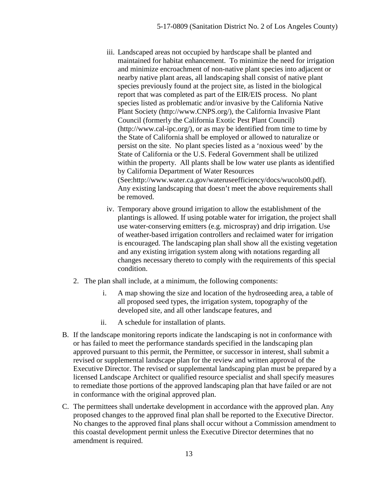- iii. Landscaped areas not occupied by hardscape shall be planted and maintained for habitat enhancement. To minimize the need for irrigation and minimize encroachment of non-native plant species into adjacent or nearby native plant areas, all landscaping shall consist of native plant species previously found at the project site, as listed in the biological report that was completed as part of the EIR/EIS process. No plant species listed as problematic and/or invasive by the California Native Plant Society [\(http://www.CNPS.org/\)](http://www.cnps.org/), the California Invasive Plant Council (formerly the California Exotic Pest Plant Council) [\(http://www.cal-ipc.org/\)](http://www.cal-ipc.org/), or as may be identified from time to time by the State of California shall be employed or allowed to naturalize or persist on the site. No plant species listed as a 'noxious weed' by the State of California or the U.S. Federal Government shall be utilized within the property. All plants shall be low water use plants as identified by California Department of Water Resources (See:http://www.water.ca.gov/wateruseefficiency/docs/wucols00.pdf). Any existing landscaping that doesn't meet the above requirements shall be removed.
- iv. Temporary above ground irrigation to allow the establishment of the plantings is allowed. If using potable water for irrigation, the project shall use water-conserving emitters (e.g. microspray) and drip irrigation. Use of weather-based irrigation controllers and reclaimed water for irrigation is encouraged. The landscaping plan shall show all the existing vegetation and any existing irrigation system along with notations regarding all changes necessary thereto to comply with the requirements of this special condition.
- 2. The plan shall include, at a minimum, the following components:
	- i. A map showing the size and location of the hydroseeding area, a table of all proposed seed types, the irrigation system, topography of the developed site, and all other landscape features, and
	- ii. A schedule for installation of plants.
- B. If the landscape monitoring reports indicate the landscaping is not in conformance with or has failed to meet the performance standards specified in the landscaping plan approved pursuant to this permit, the Permittee, or successor in interest, shall submit a revised or supplemental landscape plan for the review and written approval of the Executive Director. The revised or supplemental landscaping plan must be prepared by a licensed Landscape Architect or qualified resource specialist and shall specify measures to remediate those portions of the approved landscaping plan that have failed or are not in conformance with the original approved plan.
- C. The permittees shall undertake development in accordance with the approved plan. Any proposed changes to the approved final plan shall be reported to the Executive Director. No changes to the approved final plans shall occur without a Commission amendment to this coastal development permit unless the Executive Director determines that no amendment is required.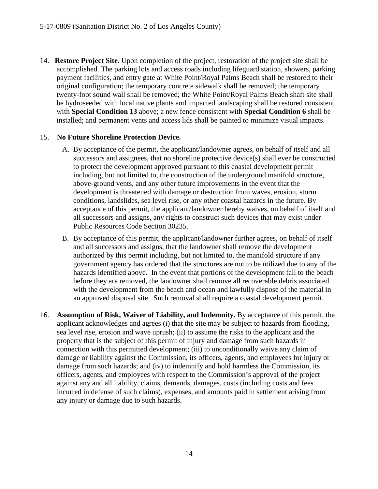14. **Restore Project Site.** Upon completion of the project, restoration of the project site shall be accomplished. The parking lots and access roads including lifeguard station, showers, parking payment facilities, and entry gate at White Point/Royal Palms Beach shall be restored to their original configuration; the temporary concrete sidewalk shall be removed; the temporary twenty-foot sound wall shall be removed; the White Point/Royal Palms Beach shaft site shall be hydroseeded with local native plants and impacted landscaping shall be restored consistent with **Special Condition 13** above; a new fence consistent with **Special Condition 6** shall be installed; and permanent vents and access lids shall be painted to minimize visual impacts.

#### 15. **No Future Shoreline Protection Device.**

- A. By acceptance of the permit, the applicant/landowner agrees, on behalf of itself and all successors and assignees, that no shoreline protective device(s) shall ever be constructed to protect the development approved pursuant to this coastal development permit including, but not limited to, the construction of the underground manifold structure, above-ground vents, and any other future improvements in the event that the development is threatened with damage or destruction from waves, erosion, storm conditions, landslides, sea level rise, or any other coastal hazards in the future. By acceptance of this permit, the applicant/landowner hereby waives, on behalf of itself and all successors and assigns, any rights to construct such devices that may exist under Public Resources Code Section 30235.
- B. By acceptance of this permit, the applicant/landowner further agrees, on behalf of itself and all successors and assigns, that the landowner shall remove the development authorized by this permit including, but not limited to, the manifold structure if any government agency has ordered that the structures are not to be utilized due to any of the hazards identified above. In the event that portions of the development fall to the beach before they are removed, the landowner shall remove all recoverable debris associated with the development from the beach and ocean and lawfully dispose of the material in an approved disposal site. Such removal shall require a coastal development permit.
- 16. **Assumption of Risk, Waiver of Liability, and Indemnity.** By acceptance of this permit, the applicant acknowledges and agrees (i) that the site may be subject to hazards from flooding, sea level rise, erosion and wave uprush; (ii) to assume the risks to the applicant and the property that is the subject of this permit of injury and damage from such hazards in connection with this permitted development; (iii) to unconditionally waive any claim of damage or liability against the Commission, its officers, agents, and employees for injury or damage from such hazards; and (iv) to indemnify and hold harmless the Commission, its officers, agents, and employees with respect to the Commission's approval of the project against any and all liability, claims, demands, damages, costs (including costs and fees incurred in defense of such claims), expenses, and amounts paid in settlement arising from any injury or damage due to such hazards.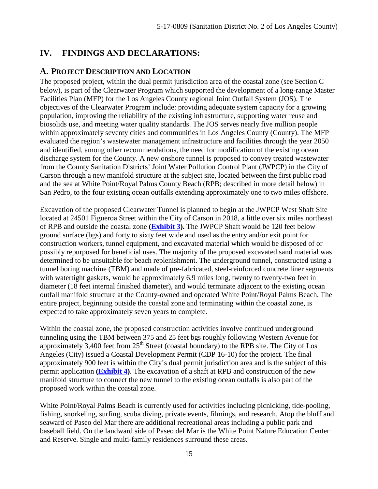## <span id="page-14-0"></span>**IV. FINDINGS AND DECLARATIONS:**

### <span id="page-14-1"></span>**A. PROJECT DESCRIPTION AND LOCATION**

The proposed project, within the dual permit jurisdiction area of the coastal zone (see Section C below), is part of the Clearwater Program which supported the development of a long-range Master Facilities Plan (MFP) for the Los Angeles County regional Joint Outfall System (JOS). The objectives of the Clearwater Program include: providing adequate system capacity for a growing population, improving the reliability of the existing infrastructure, supporting water reuse and biosolids use, and meeting water quality standards. The JOS serves nearly five million people within approximately seventy cities and communities in Los Angeles County (County). The MFP evaluated the region's wastewater management infrastructure and facilities through the year 2050 and identified, among other recommendations, the need for modification of the existing ocean discharge system for the County. A new onshore tunnel is proposed to convey treated wastewater from the County Sanitation Districts' Joint Water Pollution Control Plant (JWPCP) in the City of Carson through a new manifold structure at the subject site, located between the first public road and the sea at White Point/Royal Palms County Beach (RPB; described in more detail below) in San Pedro, to the four existing ocean outfalls extending approximately one to two miles offshore.

Excavation of the proposed Clearwater Tunnel is planned to begin at the JWPCP West Shaft Site located at 24501 Figueroa Street within the City of Carson in 2018, a little over six miles northeast of RPB and outside the coastal zone **(Exhibit 3).** The JWPCP Shaft would be 120 feet below ground surface (bgs) and forty to sixty feet wide and used as the entry and/or exit point for construction workers, tunnel equipment, and excavated material which would be disposed of or possibly repurposed for beneficial uses. The majority of the proposed excavated sand material was determined to be unsuitable for beach replenishment. The underground tunnel, constructed using a tunnel boring machine (TBM) and made of pre-fabricated, steel-reinforced concrete liner segments with watertight gaskets, would be approximately 6.9 miles long, twenty to twenty-two feet in diameter (18 feet internal finished diameter), and would terminate adjacent to the existing ocean outfall manifold structure at the County-owned and operated White Point/Royal Palms Beach. The entire project, beginning outside the coastal zone and terminating within the coastal zone, is expected to take approximately seven years to complete.

Within the coastal zone, the proposed construction activities involve continued underground tunneling using the TBM between 375 and 25 feet bgs roughly following Western Avenue for approximately 3,400 feet from  $25<sup>th</sup>$  Street (coastal boundary) to the RPB site. The City of Los Angeles (City) issued a Coastal Development Permit (CDP 16-10) for the project. The final approximately 900 feet is within the City's dual permit jurisdiction area and is the subject of this permit application **(Exhibit 4)**. The excavation of a shaft at RPB and construction of the new manifold structure to connect the new tunnel to the existing ocean outfalls is also part of the proposed work within the coastal zone.

White Point/Royal Palms Beach is currently used for activities including picnicking, tide-pooling, fishing, snorkeling, surfing, scuba diving, private events, filmings, and research. Atop the bluff and seaward of Paseo del Mar there are additional recreational areas including a public park and baseball field. On the landward side of Paseo del Mar is the White Point Nature Education Center and Reserve. Single and multi-family residences surround these areas.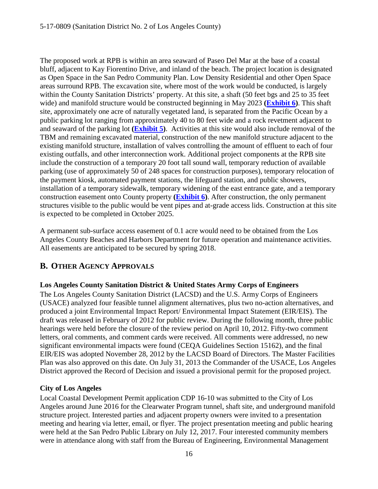The proposed work at RPB is within an area seaward of Paseo Del Mar at the base of a coastal bluff, adjacent to Kay Fiorentino Drive, and inland of the beach. The project location is designated as Open Space in the San Pedro Community Plan. Low Density Residential and other Open Space areas surround RPB. The excavation site, where most of the work would be conducted, is largely within the County Sanitation Districts' property. At this site, a shaft (50 feet bgs and 25 to 35 feet wide) and manifold structure would be constructed beginning in May 2023 **(Exhibit 6)**. This shaft site, approximately one acre of naturally vegetated land, is separated from the Pacific Ocean by a public parking lot ranging from approximately 40 to 80 feet wide and a rock revetment adjacent to and seaward of the parking lot **(Exhibit 5)**. Activities at this site would also include removal of the TBM and remaining excavated material, construction of the new manifold structure adjacent to the existing manifold structure, installation of valves controlling the amount of effluent to each of four existing outfalls, and other interconnection work. Additional project components at the RPB site include the construction of a temporary 20 foot tall sound wall, temporary reduction of available parking (use of approximately 50 of 248 spaces for construction purposes), temporary relocation of the payment kiosk, automated payment stations, the lifeguard station, and public showers, installation of a temporary sidewalk, temporary widening of the east entrance gate, and a temporary construction easement onto County property **(Exhibit 6)**. After construction, the only permanent structures visible to the public would be vent pipes and at-grade access lids. Construction at this site is expected to be completed in October 2025.

A permanent sub-surface access easement of 0.1 acre would need to be obtained from the Los Angeles County Beaches and Harbors Department for future operation and maintenance activities. All easements are anticipated to be secured by spring 2018.

## <span id="page-15-0"></span>**B. OTHER AGENCY APPROVALS**

#### **Los Angeles County Sanitation District & United States Army Corps of Engineers**

The Los Angeles County Sanitation District (LACSD) and the U.S. Army Corps of Engineers (USACE) analyzed four feasible tunnel alignment alternatives, plus two no-action alternatives, and produced a joint Environmental Impact Report/ Environmental Impact Statement (EIR/EIS). The draft was released in February of 2012 for public review. During the following month, three public hearings were held before the closure of the review period on April 10, 2012. Fifty-two comment letters, oral comments, and comment cards were received. All comments were addressed, no new significant environmental impacts were found (CEQA Guidelines Section 15162), and the final EIR/EIS was adopted November 28, 2012 by the LACSD Board of Directors. The Master Facilities Plan was also approved on this date. On July 31, 2013 the Commander of the USACE, Los Angeles District approved the Record of Decision and issued a provisional permit for the proposed project.

#### **City of Los Angeles**

Local Coastal Development Permit application CDP 16-10 was submitted to the City of Los Angeles around June 2016 for the Clearwater Program tunnel, shaft site, and underground manifold structure project. Interested parties and adjacent property owners were invited to a presentation meeting and hearing via letter, email, or flyer. The project presentation meeting and public hearing were held at the San Pedro Public Library on July 12, 2017. Four interested community members were in attendance along with staff from the Bureau of Engineering, Environmental Management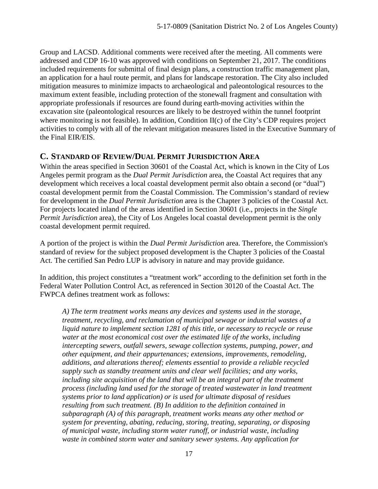Group and LACSD. Additional comments were received after the meeting. All comments were addressed and CDP 16-10 was approved with conditions on September 21, 2017. The conditions included requirements for submittal of final design plans, a construction traffic management plan, an application for a haul route permit, and plans for landscape restoration. The City also included mitigation measures to minimize impacts to archaeological and paleontological resources to the maximum extent feasible, including protection of the stonewall fragment and consultation with appropriate professionals if resources are found during earth-moving activities within the excavation site (paleontological resources are likely to be destroyed within the tunnel footprint where monitoring is not feasible). In addition, Condition II(c) of the City's CDP requires project activities to comply with all of the relevant mitigation measures listed in the Executive Summary of the Final EIR/EIS.

#### <span id="page-16-0"></span>**C. STANDARD OF REVIEW/DUAL PERMIT JURISDICTION AREA**

Within the areas specified in Section 30601 of the Coastal Act, which is known in the City of Los Angeles permit program as the *Dual Permit Jurisdiction* area, the Coastal Act requires that any development which receives a local coastal development permit also obtain a second (or "dual") coastal development permit from the Coastal Commission. The Commission's standard of review for development in the *Dual Permit Jurisdiction* area is the Chapter 3 policies of the Coastal Act. For projects located inland of the areas identified in Section 30601 (i.e., projects in the *Single Permit Jurisdiction* area), the City of Los Angeles local coastal development permit is the only coastal development permit required.

A portion of the project is within the *Dual Permit Jurisdiction* area. Therefore, the Commission's standard of review for the subject proposed development is the Chapter 3 policies of the Coastal Act. The certified San Pedro LUP is advisory in nature and may provide guidance.

In addition, this project constitutes a "treatment work" according to the definition set forth in the Federal Water Pollution Control Act, as referenced in Section 30120 of the Coastal Act. The FWPCA defines treatment work as follows:

*A) The term treatment works means any devices and systems used in the storage, treatment, recycling, and reclamation of municipal sewage or industrial wastes of a liquid nature to implement section 1281 of this title, or necessary to recycle or reuse water at the most economical cost over the estimated life of the works, including intercepting sewers, outfall sewers, sewage collection systems, pumping, power, and other equipment, and their appurtenances; extensions, improvements, remodeling, additions, and alterations thereof; elements essential to provide a reliable recycled supply such as standby treatment units and clear well facilities; and any works, including site acquisition of the land that will be an integral part of the treatment process (including land used for the storage of treated wastewater in land treatment systems prior to land application) or is used for ultimate disposal of residues resulting from such treatment. (B) In addition to the definition contained in subparagraph (A) of this paragraph, treatment works means any other method or system for preventing, abating, reducing, storing, treating, separating, or disposing of municipal waste, including storm water runoff, or industrial waste, including waste in combined storm water and sanitary sewer systems. Any application for*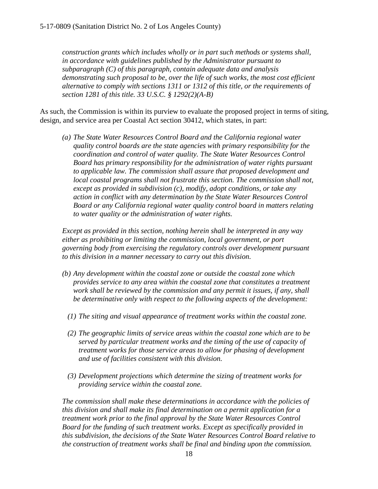*construction grants which includes wholly or in part such methods or systems shall, in accordance with guidelines published by the Administrator pursuant to subparagraph (C) of this paragraph, contain adequate data and analysis demonstrating such proposal to be, over the life of such works, the most cost efficient alternative to comply with sections 1311 or 1312 of this title, or the requirements of section 1281 of this title. 33 U.S.C. § 1292(2)(A-B)*

As such, the Commission is within its purview to evaluate the proposed project in terms of siting, design, and service area per Coastal Act section 30412, which states, in part:

*(a) The State Water Resources Control Board and the California regional water quality control boards are the state agencies with primary responsibility for the coordination and control of water quality. The State Water Resources Control Board has primary responsibility for the administration of water rights pursuant to applicable law. The commission shall assure that proposed development and*  local coastal programs shall not frustrate this section. The commission shall not, *except as provided in subdivision (c), modify, adopt conditions, or take any action in conflict with any determination by the State Water Resources Control Board or any California regional water quality control board in matters relating to water quality or the administration of water rights.*

*Except as provided in this section, nothing herein shall be interpreted in any way either as prohibiting or limiting the commission, local government, or port governing body from exercising the regulatory controls over development pursuant to this division in a manner necessary to carry out this division.* 

- *(b) Any development within the coastal zone or outside the coastal zone which provides service to any area within the coastal zone that constitutes a treatment work shall be reviewed by the commission and any permit it issues, if any, shall be determinative only with respect to the following aspects of the development:* 
	- *(1) The siting and visual appearance of treatment works within the coastal zone.*
	- *(2) The geographic limits of service areas within the coastal zone which are to be served by particular treatment works and the timing of the use of capacity of treatment works for those service areas to allow for phasing of development and use of facilities consistent with this division.*
	- *(3) Development projections which determine the sizing of treatment works for providing service within the coastal zone.*

*The commission shall make these determinations in accordance with the policies of this division and shall make its final determination on a permit application for a treatment work prior to the final approval by the State Water Resources Control Board for the funding of such treatment works. Except as specifically provided in this subdivision, the decisions of the State Water Resources Control Board relative to the construction of treatment works shall be final and binding upon the commission.*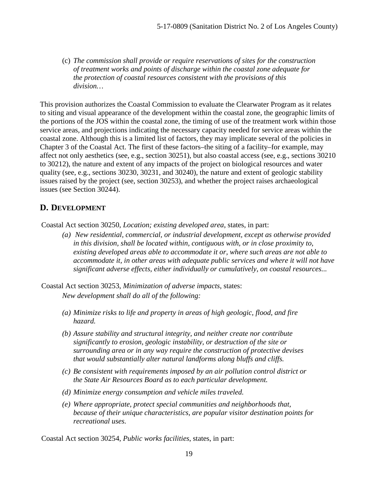(c) *The commission shall provide or require reservations of sites for the construction of treatment works and points of discharge within the coastal zone adequate for the protection of coastal resources consistent with the provisions of this division…*

This provision authorizes the Coastal Commission to evaluate the Clearwater Program as it relates to siting and visual appearance of the development within the coastal zone, the geographic limits of the portions of the JOS within the coastal zone, the timing of use of the treatment work within those service areas, and projections indicating the necessary capacity needed for service areas within the coastal zone. Although this is a limited list of factors, they may implicate several of the policies in Chapter 3 of the Coastal Act. The first of these factors–the siting of a facility–for example, may affect not only aesthetics (see, e.g., section 30251), but also coastal access (see, e.g., sections 30210 to 30212), the nature and extent of any impacts of the project on biological resources and water quality (see, e.g., sections 30230, 30231, and 30240), the nature and extent of geologic stability issues raised by the project (see, section 30253), and whether the project raises archaeological issues (see Section 30244).

#### <span id="page-18-0"></span>**D. DEVELOPMENT**

Coastal Act section 30250, *Location; existing developed area*, states, in part:

*(a) New residential, commercial, or industrial development, except as otherwise provided in this division, shall be located within, contiguous with, or in close proximity to, existing developed areas able to accommodate it or, where such areas are not able to accommodate it, in other areas with adequate public services and where it will not have significant adverse effects, either individually or cumulatively, on coastal resources...* 

Coastal Act section 30253, *Minimization of adverse impacts*, states: *New development shall do all of the following:* 

- *(a) Minimize risks to life and property in areas of high geologic, flood, and fire hazard.*
- *(b) Assure stability and structural integrity, and neither create nor contribute significantly to erosion, geologic instability, or destruction of the site or surrounding area or in any way require the construction of protective devises that would substantially alter natural landforms along bluffs and cliffs.*
- *(c) Be consistent with requirements imposed by an air pollution control district or the State Air Resources Board as to each particular development.*
- *(d) Minimize energy consumption and vehicle miles traveled.*
- *(e) Where appropriate, protect special communities and neighborhoods that, because of their unique characteristics, are popular visitor destination points for recreational uses.*

Coastal Act section 30254, *Public works facilities*, states, in part: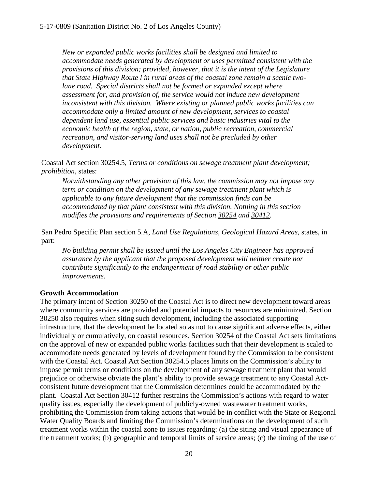*New or expanded public works facilities shall be designed and limited to accommodate needs generated by development or uses permitted consistent with the provisions of this division; provided, however, that it is the intent of the Legislature that State Highway Route l in rural areas of the coastal zone remain a scenic twolane road. Special districts shall not be formed or expanded except where assessment for, and provision of, the service would not induce new development inconsistent with this division. Where existing or planned public works facilities can accommodate only a limited amount of new development, services to coastal dependent land use, essential public services and basic industries vital to the economic health of the region, state, or nation, public recreation, commercial recreation, and visitor-serving land uses shall not be precluded by other development.*

Coastal Act section 30254.5, *Terms or conditions on sewage treatment plant development; prohibition*, states:

*Notwithstanding any other provision of this law, the commission may not impose any term or condition on the development of any sewage treatment plant which is applicable to any future development that the commission finds can be accommodated by that plant consistent with this division. Nothing in this section modifies the provisions and requirements of Section 30254 and 30412.* 

San Pedro Specific Plan section 5.A, *Land Use Regulations, Geological Hazard Areas*, states, in part:

*No building permit shall be issued until the Los Angeles City Engineer has approved assurance by the applicant that the proposed development will neither create nor contribute significantly to the endangerment of road stability or other public improvements.*

#### **Growth Accommodation**

The primary intent of Section 30250 of the Coastal Act is to direct new development toward areas where community services are provided and potential impacts to resources are minimized. Section 30250 also requires when siting such development, including the associated supporting infrastructure, that the development be located so as not to cause significant adverse effects, either individually or cumulatively, on coastal resources. Section 30254 of the Coastal Act sets limitations on the approval of new or expanded public works facilities such that their development is scaled to accommodate needs generated by levels of development found by the Commission to be consistent with the Coastal Act. Coastal Act Section 30254.5 places limits on the Commission's ability to impose permit terms or conditions on the development of any sewage treatment plant that would prejudice or otherwise obviate the plant's ability to provide sewage treatment to any Coastal Actconsistent future development that the Commission determines could be accommodated by the plant. Coastal Act Section 30412 further restrains the Commission's actions with regard to water quality issues, especially the development of publicly-owned wastewater treatment works, prohibiting the Commission from taking actions that would be in conflict with the State or Regional Water Quality Boards and limiting the Commission's determinations on the development of such treatment works within the coastal zone to issues regarding: (a) the siting and visual appearance of the treatment works; (b) geographic and temporal limits of service areas; (c) the timing of the use of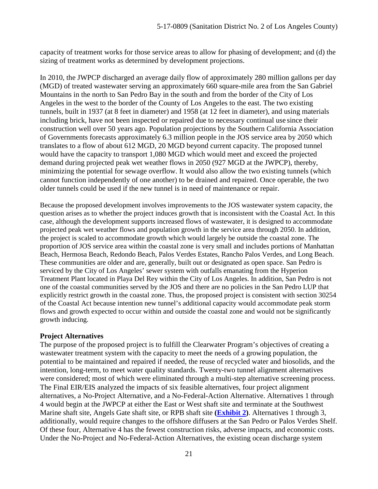capacity of treatment works for those service areas to allow for phasing of development; and (d) the sizing of treatment works as determined by development projections.

In 2010, the JWPCP discharged an average daily flow of approximately 280 million gallons per day (MGD) of treated wastewater serving an approximately 660 square-mile area from the San Gabriel Mountains in the north to San Pedro Bay in the south and from the border of the City of Los Angeles in the west to the border of the County of Los Angeles to the east. The two existing tunnels, built in 1937 (at 8 feet in diameter) and 1958 (at 12 feet in diameter), and using materials including brick, have not been inspected or repaired due to necessary continual use since their construction well over 50 years ago. Population projections by the Southern California Association of Governments forecasts approximately 6.3 million people in the JOS service area by 2050 which translates to a flow of about 612 MGD, 20 MGD beyond current capacity. The proposed tunnel would have the capacity to transport 1,080 MGD which would meet and exceed the projected demand during projected peak wet weather flows in 2050 (927 MGD at the JWPCP), thereby, minimizing the potential for sewage overflow. It would also allow the two existing tunnels (which cannot function independently of one another) to be drained and repaired. Once operable, the two older tunnels could be used if the new tunnel is in need of maintenance or repair.

Because the proposed development involves improvements to the JOS wastewater system capacity, the question arises as to whether the project induces growth that is inconsistent with the Coastal Act. In this case, although the development supports increased flows of wastewater, it is designed to accommodate projected peak wet weather flows and population growth in the service area through 2050. In addition, the project is scaled to accommodate growth which would largely be outside the coastal zone. The proportion of JOS service area within the coastal zone is very small and includes portions of Manhattan Beach, Hermosa Beach, Redondo Beach, Palos Verdes Estates, Rancho Palos Verdes, and Long Beach. These communities are older and are, generally, built out or designated as open space. San Pedro is serviced by the City of Los Angeles' sewer system with outfalls emanating from the Hyperion Treatment Plant located in Playa Del Rey within the City of Los Angeles. In addition, San Pedro is not one of the coastal communities served by the JOS and there are no policies in the San Pedro LUP that explicitly restrict growth in the coastal zone. Thus, the proposed project is consistent with section 30254 of the Coastal Act because intention new tunnel's additional capacity would accommodate peak storm flows and growth expected to occur within and outside the coastal zone and would not be significantly growth inducing.

#### **Project Alternatives**

The purpose of the proposed project is to fulfill the Clearwater Program's objectives of creating a wastewater treatment system with the capacity to meet the needs of a growing population, the potential to be maintained and repaired if needed, the reuse of recycled water and biosolids, and the intention, long-term, to meet water quality standards. Twenty-two tunnel alignment alternatives were considered; most of which were eliminated through a multi-step alternative screening process. The Final EIR/EIS analyzed the impacts of six feasible alternatives, four project alignment alternatives, a No-Project Alternative, and a No-Federal-Action Alternative. Alternatives 1 through 4 would begin at the JWPCP at either the East or West shaft site and terminate at the Southwest Marine shaft site, Angels Gate shaft site, or RPB shaft site **(Exhibit 2)**. Alternatives 1 through 3, additionally, would require changes to the offshore diffusers at the San Pedro or Palos Verdes Shelf. Of these four, Alternative 4 has the fewest construction risks, adverse impacts, and economic costs. Under the No-Project and No-Federal-Action Alternatives, the existing ocean discharge system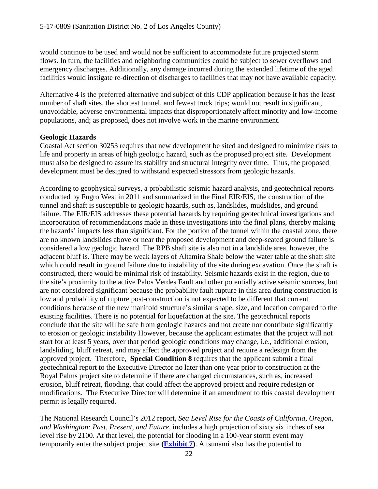would continue to be used and would not be sufficient to accommodate future projected storm flows. In turn, the facilities and neighboring communities could be subject to sewer overflows and emergency discharges. Additionally, any damage incurred during the extended lifetime of the aged facilities would instigate re-direction of discharges to facilities that may not have available capacity.

Alternative 4 is the preferred alternative and subject of this CDP application because it has the least number of shaft sites, the shortest tunnel, and fewest truck trips; would not result in significant, unavoidable, adverse environmental impacts that disproportionately affect minority and low-income populations, and; as proposed, does not involve work in the marine environment.

#### **Geologic Hazards**

Coastal Act section 30253 requires that new development be sited and designed to minimize risks to life and property in areas of high geologic hazard, such as the proposed project site. Development must also be designed to assure its stability and structural integrity over time. Thus, the proposed development must be designed to withstand expected stressors from geologic hazards.

According to geophysical surveys, a probabilistic seismic hazard analysis, and geotechnical reports conducted by Fugro West in 2011 and summarized in the Final EIR/EIS, the construction of the tunnel and shaft is susceptible to geologic hazards, such as, landslides, mudslides, and ground failure. The EIR/EIS addresses these potential hazards by requiring geotechnical investigations and incorporation of recommendations made in these investigations into the final plans, thereby making the hazards' impacts less than significant. For the portion of the tunnel within the coastal zone, there are no known landslides above or near the proposed development and deep-seated ground failure is considered a low geologic hazard. The RPB shaft site is also not in a landslide area, however, the adjacent bluff is. There may be weak layers of Altamira Shale below the water table at the shaft site which could result in ground failure due to instability of the site during excavation. Once the shaft is constructed, there would be minimal risk of instability. Seismic hazards exist in the region, due to the site's proximity to the active Palos Verdes Fault and other potentially active seismic sources, but are not considered significant because the probability fault rupture in this area during construction is low and probability of rupture post-construction is not expected to be different that current conditions because of the new manifold structure's similar shape, size, and location compared to the existing facilities. There is no potential for liquefaction at the site. The geotechnical reports conclude that the site will be safe from geologic hazards and not create nor contribute significantly to erosion or geologic instability However, because the applicant estimates that the project will not start for at least 5 years, over that period geologic conditions may change, i.e., additional erosion, landsliding, bluff retreat, and may affect the approved project and require a redesign from the approved project. Therefore, **Special Condition 8** requires that the applicant submit a final geotechnical report to the Executive Director no later than one year prior to construction at the Royal Palms project site to determine if there are changed circumstances, such as, increased erosion, bluff retreat, flooding, that could affect the approved project and require redesign or modifications. The Executive Director will determine if an amendment to this coastal development permit is legally required.

The National Research Council's 2012 report, *Sea Level Rise for the Coasts of California, Oregon, and Washington: Past, Present, and Future*, includes a high projection of sixty six inches of sea level rise by 2100. At that level, the potential for flooding in a 100-year storm event may temporarily enter the subject project site **(Exhibit 7)**. A tsunami also has the potential to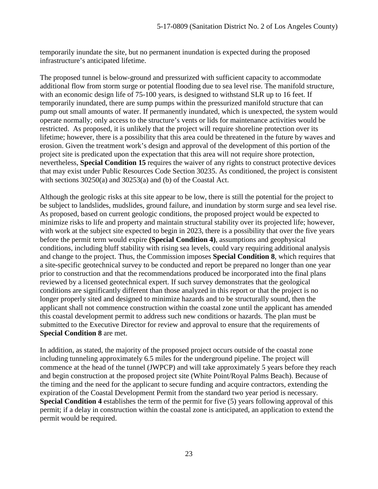temporarily inundate the site, but no permanent inundation is expected during the proposed infrastructure's anticipated lifetime.

The proposed tunnel is below-ground and pressurized with sufficient capacity to accommodate additional flow from storm surge or potential flooding due to sea level rise. The manifold structure, with an economic design life of 75-100 years, is designed to withstand SLR up to 16 feet. If temporarily inundated, there are sump pumps within the pressurized manifold structure that can pump out small amounts of water. If permanently inundated, which is unexpected, the system would operate normally; only access to the structure's vents or lids for maintenance activities would be restricted. As proposed, it is unlikely that the project will require shoreline protection over its lifetime; however, there is a possibility that this area could be threatened in the future by waves and erosion. Given the treatment work's design and approval of the development of this portion of the project site is predicated upon the expectation that this area will not require shore protection, nevertheless, **Special Condition 15** requires the waiver of any rights to construct protective devices that may exist under Public Resources Code Section 30235. As conditioned, the project is consistent with sections 30250(a) and 30253(a) and (b) of the Coastal Act.

Although the geologic risks at this site appear to be low, there is still the potential for the project to be subject to landslides, mudslides, ground failure, and inundation by storm surge and sea level rise. As proposed, based on current geologic conditions, the proposed project would be expected to minimize risks to life and property and maintain structural stability over its projected life; however, with work at the subject site expected to begin in 2023, there is a possibility that over the five years before the permit term would expire **(Special Condition 4)**, assumptions and geophysical conditions, including bluff stability with rising sea levels, could vary requiring additional analysis and change to the project. Thus, the Commission imposes **Special Condition 8**, which requires that a site-specific geotechnical survey to be conducted and report be prepared no longer than one year prior to construction and that the recommendations produced be incorporated into the final plans reviewed by a licensed geotechnical expert. If such survey demonstrates that the geological conditions are significantly different than those analyzed in this report or that the project is no longer properly sited and designed to minimize hazards and to be structurally sound, then the applicant shall not commence construction within the coastal zone until the applicant has amended this coastal development permit to address such new conditions or hazards. The plan must be submitted to the Executive Director for review and approval to ensure that the requirements of **Special Condition 8** are met.

In addition, as stated, the majority of the proposed project occurs outside of the coastal zone including tunneling approximately 6.5 miles for the underground pipeline. The project will commence at the head of the tunnel (JWPCP) and will take approximately 5 years before they reach and begin construction at the proposed project site (White Point/Royal Palms Beach). Because of the timing and the need for the applicant to secure funding and acquire contractors, extending the expiration of the Coastal Development Permit from the standard two year period is necessary. **Special Condition 4** establishes the term of the permit for five (5) years following approval of this permit; if a delay in construction within the coastal zone is anticipated, an application to extend the permit would be required.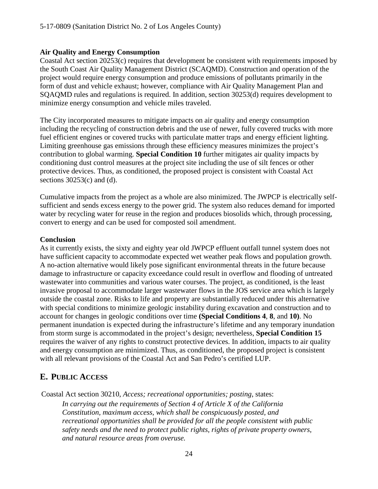#### **Air Quality and Energy Consumption**

Coastal Act section 20253(c) requires that development be consistent with requirements imposed by the South Coast Air Quality Management District (SCAQMD). Construction and operation of the project would require energy consumption and produce emissions of pollutants primarily in the form of dust and vehicle exhaust; however, compliance with Air Quality Management Plan and SQAQMD rules and regulations is required. In addition, section 30253(d) requires development to minimize energy consumption and vehicle miles traveled.

The City incorporated measures to mitigate impacts on air quality and energy consumption including the recycling of construction debris and the use of newer, fully covered trucks with more fuel efficient engines or covered trucks with particulate matter traps and energy efficient lighting. Limiting greenhouse gas emissions through these efficiency measures minimizes the project's contribution to global warming. **Special Condition 10** further mitigates air quality impacts by conditioning dust control measures at the project site including the use of silt fences or other protective devices. Thus, as conditioned, the proposed project is consistent with Coastal Act sections  $30253(c)$  and (d).

Cumulative impacts from the project as a whole are also minimized. The JWPCP is electrically selfsufficient and sends excess energy to the power grid. The system also reduces demand for imported water by recycling water for reuse in the region and produces biosolids which, through processing, convert to energy and can be used for composted soil amendment.

#### **Conclusion**

As it currently exists, the sixty and eighty year old JWPCP effluent outfall tunnel system does not have sufficient capacity to accommodate expected wet weather peak flows and population growth. A no-action alternative would likely pose significant environmental threats in the future because damage to infrastructure or capacity exceedance could result in overflow and flooding of untreated wastewater into communities and various water courses. The project, as conditioned, is the least invasive proposal to accommodate larger wastewater flows in the JOS service area which is largely outside the coastal zone. Risks to life and property are substantially reduced under this alternative with special conditions to minimize geologic instability during excavation and construction and to account for changes in geologic conditions over time **(Special Conditions 4**, **8**, and **10)**. No permanent inundation is expected during the infrastructure's lifetime and any temporary inundation from storm surge is accommodated in the project's design; nevertheless, **Special Condition 15** requires the waiver of any rights to construct protective devices. In addition, impacts to air quality and energy consumption are minimized. Thus, as conditioned, the proposed project is consistent with all relevant provisions of the Coastal Act and San Pedro's certified LUP.

## <span id="page-23-0"></span>**E. PUBLIC ACCESS**

Coastal Act section 30210, *Access; recreational opportunities; posting*, states:

*In carrying out the requirements of Section 4 of Article X of the California Constitution, maximum access, which shall be conspicuously posted, and recreational opportunities shall be provided for all the people consistent with public safety needs and the need to protect public rights, rights of private property owners, and natural resource areas from overuse.*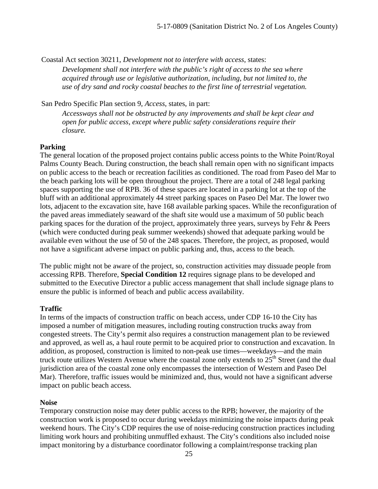Coastal Act section 30211, *Development not to interfere with access*, states:

*Development shall not interfere with the public's right of access to the sea where acquired through use or legislative authorization, including, but not limited to, the use of dry sand and rocky coastal beaches to the first line of terrestrial vegetation.* 

San Pedro Specific Plan section 9, *Access*, states, in part:

*Accessways shall not be obstructed by any improvements and shall be kept clear and open for public access, except where public safety considerations require their closure.*

#### **Parking**

The general location of the proposed project contains public access points to the White Point/Royal Palms County Beach. During construction, the beach shall remain open with no significant impacts on public access to the beach or recreation facilities as conditioned. The road from Paseo del Mar to the beach parking lots will be open throughout the project. There are a total of 248 legal parking spaces supporting the use of RPB. 36 of these spaces are located in a parking lot at the top of the bluff with an additional approximately 44 street parking spaces on Paseo Del Mar. The lower two lots, adjacent to the excavation site, have 168 available parking spaces. While the reconfiguration of the paved areas immediately seaward of the shaft site would use a maximum of 50 public beach parking spaces for the duration of the project, approximately three years, surveys by Fehr & Peers (which were conducted during peak summer weekends) showed that adequate parking would be available even without the use of 50 of the 248 spaces. Therefore, the project, as proposed, would not have a significant adverse impact on public parking and, thus, access to the beach.

The public might not be aware of the project, so, construction activities may dissuade people from accessing RPB. Therefore, **Special Condition 12** requires signage plans to be developed and submitted to the Executive Director a public access management that shall include signage plans to ensure the public is informed of beach and public access availability.

#### **Traffic**

In terms of the impacts of construction traffic on beach access, under CDP 16-10 the City has imposed a number of mitigation measures, including routing construction trucks away from congested streets. The City's permit also requires a construction management plan to be reviewed and approved, as well as, a haul route permit to be acquired prior to construction and excavation. In addition, as proposed, construction is limited to non-peak use times—weekdays—and the main truck route utilizes Western Avenue where the coastal zone only extends to  $25<sup>th</sup>$  Street (and the dual jurisdiction area of the coastal zone only encompasses the intersection of Western and Paseo Del Mar). Therefore, traffic issues would be minimized and, thus, would not have a significant adverse impact on public beach access.

#### **Noise**

Temporary construction noise may deter public access to the RPB; however, the majority of the construction work is proposed to occur during weekdays minimizing the noise impacts during peak weekend hours. The City's CDP requires the use of noise-reducing construction practices including limiting work hours and prohibiting unmuffled exhaust. The City's conditions also included noise impact monitoring by a disturbance coordinator following a complaint/response tracking plan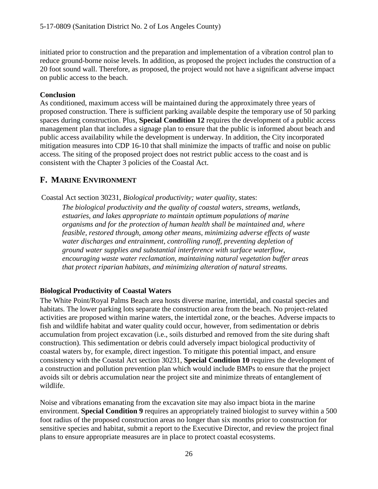initiated prior to construction and the preparation and implementation of a vibration control plan to reduce ground-borne noise levels. In addition, as proposed the project includes the construction of a 20 foot sound wall. Therefore, as proposed, the project would not have a significant adverse impact on public access to the beach.

#### **Conclusion**

As conditioned, maximum access will be maintained during the approximately three years of proposed construction. There is sufficient parking available despite the temporary use of 50 parking spaces during construction. Plus, **Special Condition 12** requires the development of a public access management plan that includes a signage plan to ensure that the public is informed about beach and public access availability while the development is underway. In addition, the City incorporated mitigation measures into CDP 16-10 that shall minimize the impacts of traffic and noise on public access. The siting of the proposed project does not restrict public access to the coast and is consistent with the Chapter 3 policies of the Coastal Act.

## <span id="page-25-0"></span>**F. MARINE ENVIRONMENT**

Coastal Act section 30231, *Biological productivity; water quality*, states:

*The biological productivity and the quality of coastal waters, streams, wetlands, estuaries, and lakes appropriate to maintain optimum populations of marine organisms and for the protection of human health shall be maintained and, where feasible, restored through, among other means, minimizing adverse effects of waste water discharges and entrainment, controlling runoff, preventing depletion of ground water supplies and substantial interference with surface waterflow, encouraging waste water reclamation, maintaining natural vegetation buffer areas that protect riparian habitats, and minimizing alteration of natural streams.* 

#### **Biological Productivity of Coastal Waters**

The White Point/Royal Palms Beach area hosts diverse marine, intertidal, and coastal species and habitats. The lower parking lots separate the construction area from the beach. No project-related activities are proposed within marine waters, the intertidal zone, or the beaches. Adverse impacts to fish and wildlife habitat and water quality could occur, however, from sedimentation or debris accumulation from project excavation (i.e., soils disturbed and removed from the site during shaft construction). This sedimentation or debris could adversely impact biological productivity of coastal waters by, for example, direct ingestion. To mitigate this potential impact, and ensure consistency with the Coastal Act section 30231, **Special Condition 10** requires the development of a construction and pollution prevention plan which would include BMPs to ensure that the project avoids silt or debris accumulation near the project site and minimize threats of entanglement of wildlife.

Noise and vibrations emanating from the excavation site may also impact biota in the marine environment. **Special Condition 9** requires an appropriately trained biologist to survey within a 500 foot radius of the proposed construction areas no longer than six months prior to construction for sensitive species and habitat, submit a report to the Executive Director, and review the project final plans to ensure appropriate measures are in place to protect coastal ecosystems.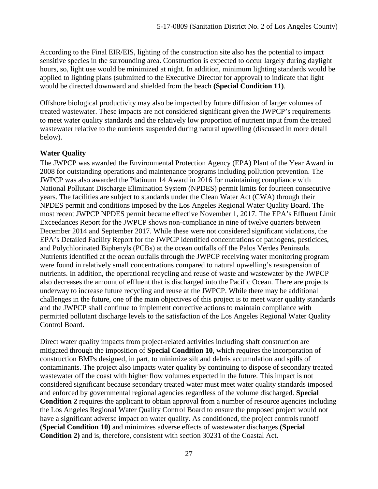According to the Final EIR/EIS, lighting of the construction site also has the potential to impact sensitive species in the surrounding area. Construction is expected to occur largely during daylight hours, so, light use would be minimized at night. In addition, minimum lighting standards would be applied to lighting plans (submitted to the Executive Director for approval) to indicate that light would be directed downward and shielded from the beach **(Special Condition 11)**.

Offshore biological productivity may also be impacted by future diffusion of larger volumes of treated wastewater. These impacts are not considered significant given the JWPCP's requirements to meet water quality standards and the relatively low proportion of nutrient input from the treated wastewater relative to the nutrients suspended during natural upwelling (discussed in more detail below).

#### **Water Quality**

The JWPCP was awarded the Environmental Protection Agency (EPA) Plant of the Year Award in 2008 for outstanding operations and maintenance programs including pollution prevention. The JWPCP was also awarded the Platinum 14 Award in 2016 for maintaining compliance with National Pollutant Discharge Elimination System (NPDES) permit limits for fourteen consecutive years. The facilities are subject to standards under the Clean Water Act (CWA) through their NPDES permit and conditions imposed by the Los Angeles Regional Water Quality Board. The most recent JWPCP NPDES permit became effective November 1, 2017. The EPA's Effluent Limit Exceedances Report for the JWPCP shows non-compliance in nine of twelve quarters between December 2014 and September 2017. While these were not considered significant violations, the EPA's Detailed Facility Report for the JWPCP identified concentrations of pathogens, pesticides, and Polychlorinated Biphenyls (PCBs) at the ocean outfalls off the Palos Verdes Peninsula. Nutrients identified at the ocean outfalls through the JWPCP receiving water monitoring program were found in relatively small concentrations compared to natural upwelling's resuspension of nutrients. In addition, the operational recycling and reuse of waste and wastewater by the JWPCP also decreases the amount of effluent that is discharged into the Pacific Ocean. There are projects underway to increase future recycling and reuse at the JWPCP. While there may be additional challenges in the future, one of the main objectives of this project is to meet water quality standards and the JWPCP shall continue to implement corrective actions to maintain compliance with permitted pollutant discharge levels to the satisfaction of the Los Angeles Regional Water Quality Control Board.

Direct water quality impacts from project-related activities including shaft construction are mitigated through the imposition of **Special Condition 10**, which requires the incorporation of construction BMPs designed, in part, to minimize silt and debris accumulation and spills of contaminants. The project also impacts water quality by continuing to dispose of secondary treated wastewater off the coast with higher flow volumes expected in the future. This impact is not considered significant because secondary treated water must meet water quality standards imposed and enforced by governmental regional agencies regardless of the volume discharged. **Special Condition 2** requires the applicant to obtain approval from a number of resource agencies including the Los Angeles Regional Water Quality Control Board to ensure the proposed project would not have a significant adverse impact on water quality. As conditioned, the project controls runoff **(Special Condition 10)** and minimizes adverse effects of wastewater discharges **(Special Condition 2)** and is, therefore, consistent with section 30231 of the Coastal Act.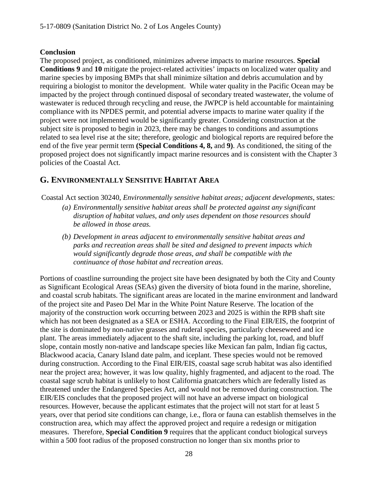#### **Conclusion**

The proposed project, as conditioned, minimizes adverse impacts to marine resources. **Special Conditions 9** and **10** mitigate the project-related activities' impacts on localized water quality and marine species by imposing BMPs that shall minimize siltation and debris accumulation and by requiring a biologist to monitor the development. While water quality in the Pacific Ocean may be impacted by the project through continued disposal of secondary treated wastewater, the volume of wastewater is reduced through recycling and reuse, the JWPCP is held accountable for maintaining compliance with its NPDES permit, and potential adverse impacts to marine water quality if the project were not implemented would be significantly greater. Considering construction at the subject site is proposed to begin in 2023, there may be changes to conditions and assumptions related to sea level rise at the site; therefore, geologic and biological reports are required before the end of the five year permit term **(Special Conditions 4, 8,** and **9)**. As conditioned, the siting of the proposed project does not significantly impact marine resources and is consistent with the Chapter 3 policies of the Coastal Act.

## <span id="page-27-0"></span>**G. ENVIRONMENTALLY SENSITIVE HABITAT AREA**

Coastal Act section 30240, *Environmentally sensitive habitat areas; adjacent developments*, states:

- *(a) Environmentally sensitive habitat areas shall be protected against any significant disruption of habitat values, and only uses dependent on those resources should be allowed in those areas.*
- *(b) Development in areas adjacent to environmentally sensitive habitat areas and parks and recreation areas shall be sited and designed to prevent impacts which would significantly degrade those areas, and shall be compatible with the continuance of those habitat and recreation areas.*

Portions of coastline surrounding the project site have been designated by both the City and County as Significant Ecological Areas (SEAs) given the diversity of biota found in the marine, shoreline, and coastal scrub habitats. The significant areas are located in the marine environment and landward of the project site and Paseo Del Mar in the White Point Nature Reserve. The location of the majority of the construction work occurring between 2023 and 2025 is within the RPB shaft site which has not been designated as a SEA or ESHA. According to the Final EIR/EIS, the footprint of the site is dominated by non-native grasses and ruderal species, particularly cheeseweed and ice plant. The areas immediately adjacent to the shaft site, including the parking lot, road, and bluff slope, contain mostly non-native and landscape species like Mexican fan palm, Indian fig cactus, Blackwood acacia, Canary Island date palm, and iceplant. These species would not be removed during construction. According to the Final EIR/EIS, coastal sage scrub habitat was also identified near the project area; however, it was low quality, highly fragmented, and adjacent to the road. The coastal sage scrub habitat is unlikely to host California gnatcatchers which are federally listed as threatened under the Endangered Species Act, and would not be removed during construction. The EIR/EIS concludes that the proposed project will not have an adverse impact on biological resources. However, because the applicant estimates that the project will not start for at least 5 years, over that period site conditions can change, i.e., flora or fauna can establish themselves in the construction area, which may affect the approved project and require a redesign or mitigation measures. Therefore, **Special Condition 9** requires that the applicant conduct biological surveys within a 500 foot radius of the proposed construction no longer than six months prior to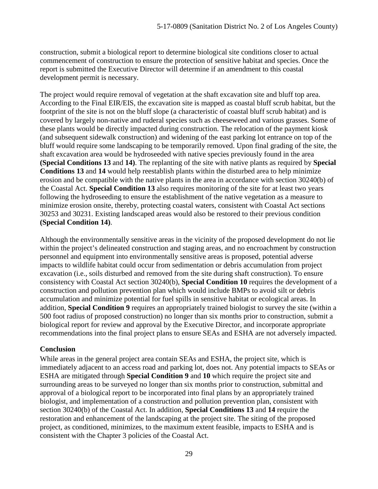construction, submit a biological report to determine biological site conditions closer to actual commencement of construction to ensure the protection of sensitive habitat and species. Once the report is submitted the Executive Director will determine if an amendment to this coastal development permit is necessary.

The project would require removal of vegetation at the shaft excavation site and bluff top area. According to the Final EIR/EIS, the excavation site is mapped as coastal bluff scrub habitat, but the footprint of the site is not on the bluff slope (a characteristic of coastal bluff scrub habitat) and is covered by largely non-native and ruderal species such as cheeseweed and various grasses. Some of these plants would be directly impacted during construction. The relocation of the payment kiosk (and subsequent sidewalk construction) and widening of the east parking lot entrance on top of the bluff would require some landscaping to be temporarily removed. Upon final grading of the site, the shaft excavation area would be hydroseeded with native species previously found in the area **(Special Conditions 13** and **14)**. The replanting of the site with native plants as required by **Special Conditions 13** and **14** would help reestablish plants within the disturbed area to help minimize erosion and be compatible with the native plants in the area in accordance with section 30240(b) of the Coastal Act. **Special Condition 13** also requires monitoring of the site for at least two years following the hydroseeding to ensure the establishment of the native vegetation as a measure to minimize erosion onsite, thereby, protecting coastal waters, consistent with Coastal Act sections 30253 and 30231. Existing landscaped areas would also be restored to their previous condition **(Special Condition 14)**.

Although the environmentally sensitive areas in the vicinity of the proposed development do not lie within the project's delineated construction and staging areas, and no encroachment by construction personnel and equipment into environmentally sensitive areas is proposed, potential adverse impacts to wildlife habitat could occur from sedimentation or debris accumulation from project excavation (i.e., soils disturbed and removed from the site during shaft construction). To ensure consistency with Coastal Act section 30240(b), **Special Condition 10** requires the development of a construction and pollution prevention plan which would include BMPs to avoid silt or debris accumulation and minimize potential for fuel spills in sensitive habitat or ecological areas. In addition, **Special Condition 9** requires an appropriately trained biologist to survey the site (within a 500 foot radius of proposed construction) no longer than six months prior to construction, submit a biological report for review and approval by the Executive Director, and incorporate appropriate recommendations into the final project plans to ensure SEAs and ESHA are not adversely impacted.

#### **Conclusion**

While areas in the general project area contain SEAs and ESHA, the project site, which is immediately adjacent to an access road and parking lot, does not. Any potential impacts to SEAs or ESHA are mitigated through **Special Condition 9** and **10** which require the project site and surrounding areas to be surveyed no longer than six months prior to construction, submittal and approval of a biological report to be incorporated into final plans by an appropriately trained biologist, and implementation of a construction and pollution prevention plan, consistent with section 30240(b) of the Coastal Act. In addition, **Special Conditions 13** and **14** require the restoration and enhancement of the landscaping at the project site. The siting of the proposed project, as conditioned, minimizes, to the maximum extent feasible, impacts to ESHA and is consistent with the Chapter 3 policies of the Coastal Act.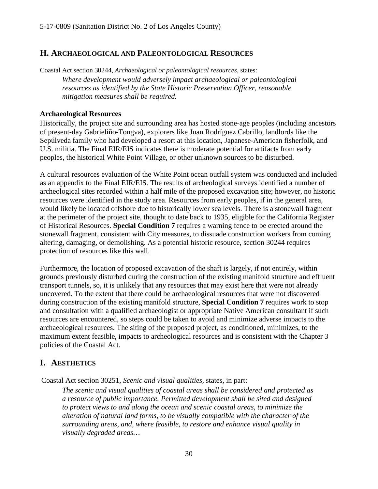#### <span id="page-29-0"></span>**H. ARCHAEOLOGICAL AND PALEONTOLOGICAL RESOURCES**

Coastal Act section 30244, *Archaeological or paleontological resources*, states: *Where development would adversely impact archaeological or paleontological resources as identified by the State Historic Preservation Officer, reasonable mitigation measures shall be required.* 

#### **Archaeological Resources**

Historically, the project site and surrounding area has hosted stone-age peoples (including ancestors of present-day Gabrieliño-Tongva), explorers like Juan Rodríguez Cabrillo, landlords like the Sepúlveda family who had developed a resort at this location, Japanese-American fisherfolk, and U.S. militia. The Final EIR/EIS indicates there is moderate potential for artifacts from early peoples, the historical White Point Village, or other unknown sources to be disturbed.

A cultural resources evaluation of the White Point ocean outfall system was conducted and included as an appendix to the Final EIR/EIS. The results of archeological surveys identified a number of archeological sites recorded within a half mile of the proposed excavation site; however, no historic resources were identified in the study area. Resources from early peoples, if in the general area, would likely be located offshore due to historically lower sea levels. There is a stonewall fragment at the perimeter of the project site, thought to date back to 1935, eligible for the California Register of Historical Resources. **Special Condition 7** requires a warning fence to be erected around the stonewall fragment, consistent with City measures, to dissuade construction workers from coming altering, damaging, or demolishing. As a potential historic resource, section 30244 requires protection of resources like this wall.

Furthermore, the location of proposed excavation of the shaft is largely, if not entirely, within grounds previously disturbed during the construction of the existing manifold structure and effluent transport tunnels, so, it is unlikely that any resources that may exist here that were not already uncovered. To the extent that there could be archaeological resources that were not discovered during construction of the existing manifold structure, **Special Condition 7** requires work to stop and consultation with a qualified archaeologist or appropriate Native American consultant if such resources are encountered, so steps could be taken to avoid and minimize adverse impacts to the archaeological resources. The siting of the proposed project, as conditioned, minimizes, to the maximum extent feasible, impacts to archeological resources and is consistent with the Chapter 3 policies of the Coastal Act.

## <span id="page-29-1"></span>**I. AESTHETICS**

Coastal Act section 30251, *Scenic and visual qualities*, states, in part:

*The scenic and visual qualities of coastal areas shall be considered and protected as a resource of public importance. Permitted development shall be sited and designed to protect views to and along the ocean and scenic coastal areas, to minimize the alteration of natural land forms, to be visually compatible with the character of the surrounding areas, and, where feasible, to restore and enhance visual quality in visually degraded areas…*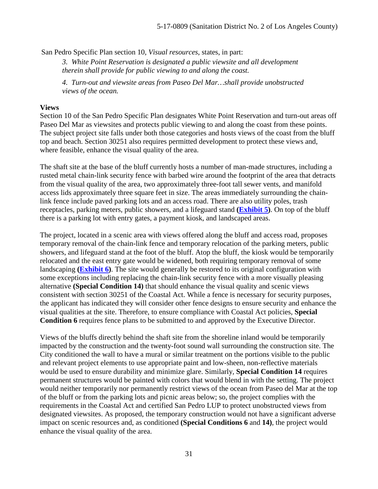San Pedro Specific Plan section 10, *Visual resources*, states, in part:

*3. White Point Reservation is designated a public viewsite and all development therein shall provide for public viewing to and along the coast.* 

*4. Turn-out and viewsite areas from Paseo Del Mar…shall provide unobstructed views of the ocean.*

#### **Views**

Section 10 of the San Pedro Specific Plan designates White Point Reservation and turn-out areas off Paseo Del Mar as viewsites and protects public viewing to and along the coast from these points. The subject project site falls under both those categories and hosts views of the coast from the bluff top and beach. Section 30251 also requires permitted development to protect these views and, where feasible, enhance the visual quality of the area.

The shaft site at the base of the bluff currently hosts a number of man-made structures, including a rusted metal chain-link security fence with barbed wire around the footprint of the area that detracts from the visual quality of the area, two approximately three-foot tall sewer vents, and manifold access lids approximately three square feet in size. The areas immediately surrounding the chainlink fence include paved parking lots and an access road. There are also utility poles, trash receptacles, parking meters, public showers, and a lifeguard stand **(Exhibit 5)**. On top of the bluff there is a parking lot with entry gates, a payment kiosk, and landscaped areas.

The project, located in a scenic area with views offered along the bluff and access road, proposes temporary removal of the chain-link fence and temporary relocation of the parking meters, public showers, and lifeguard stand at the foot of the bluff. Atop the bluff, the kiosk would be temporarily relocated and the east entry gate would be widened, both requiring temporary removal of some landscaping **(Exhibit 6)**. The site would generally be restored to its original configuration with some exceptions including replacing the chain-link security fence with a more visually pleasing alternative **(Special Condition 14)** that should enhance the visual quality and scenic views consistent with section 30251 of the Coastal Act. While a fence is necessary for security purposes, the applicant has indicated they will consider other fence designs to ensure security and enhance the visual qualities at the site. Therefore, to ensure compliance with Coastal Act policies, **Special Condition 6** requires fence plans to be submitted to and approved by the Executive Director.

Views of the bluffs directly behind the shaft site from the shoreline inland would be temporarily impacted by the construction and the twenty-foot sound wall surrounding the construction site. The City conditioned the wall to have a mural or similar treatment on the portions visible to the public and relevant project elements to use appropriate paint and low-sheen, non-reflective materials would be used to ensure durability and minimize glare. Similarly, **Special Condition 14** requires permanent structures would be painted with colors that would blend in with the setting. The project would neither temporarily nor permanently restrict views of the ocean from Paseo del Mar at the top of the bluff or from the parking lots and picnic areas below; so, the project complies with the requirements in the Coastal Act and certified San Pedro LUP to protect unobstructed views from designated viewsites. As proposed, the temporary construction would not have a significant adverse impact on scenic resources and, as conditioned **(Special Conditions 6** and **14)**, the project would enhance the visual quality of the area.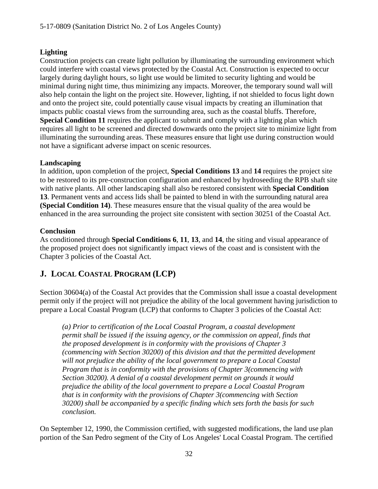#### **Lighting**

Construction projects can create light pollution by illuminating the surrounding environment which could interfere with coastal views protected by the Coastal Act. Construction is expected to occur largely during daylight hours, so light use would be limited to security lighting and would be minimal during night time, thus minimizing any impacts. Moreover, the temporary sound wall will also help contain the light on the project site. However, lighting, if not shielded to focus light down and onto the project site, could potentially cause visual impacts by creating an illumination that impacts public coastal views from the surrounding area, such as the coastal bluffs. Therefore, **Special Condition 11** requires the applicant to submit and comply with a lighting plan which requires all light to be screened and directed downwards onto the project site to minimize light from illuminating the surrounding areas. These measures ensure that light use during construction would not have a significant adverse impact on scenic resources.

#### **Landscaping**

In addition, upon completion of the project, **Special Conditions 13** and **14** requires the project site to be restored to its pre-construction configuration and enhanced by hydroseeding the RPB shaft site with native plants. All other landscaping shall also be restored consistent with **Special Condition 13**. Permanent vents and access lids shall be painted to blend in with the surrounding natural area **(Special Condition 14)**. These measures ensure that the visual quality of the area would be enhanced in the area surrounding the project site consistent with section 30251 of the Coastal Act.

#### **Conclusion**

As conditioned through **Special Conditions 6**, **11**, **13**, and **14**, the siting and visual appearance of the proposed project does not significantly impact views of the coast and is consistent with the Chapter 3 policies of the Coastal Act.

## <span id="page-31-0"></span>**J. LOCAL COASTAL PROGRAM (LCP)**

Section 30604(a) of the Coastal Act provides that the Commission shall issue a coastal development permit only if the project will not prejudice the ability of the local government having jurisdiction to prepare a Local Coastal Program (LCP) that conforms to Chapter 3 policies of the Coastal Act:

*(a) Prior to certification of the Local Coastal Program, a coastal development permit shall be issued if the issuing agency, or the commission on appeal, finds that the proposed development is in conformity with the provisions of Chapter 3 (commencing with Section 30200) of this division and that the permitted development will not prejudice the ability of the local government to prepare a Local Coastal Program that is in conformity with the provisions of Chapter 3(commencing with Section 30200). A denial of a coastal development permit on grounds it would prejudice the ability of the local government to prepare a Local Coastal Program that is in conformity with the provisions of Chapter 3(commencing with Section 30200) shall be accompanied by a specific finding which sets forth the basis for such conclusion.* 

On September 12, 1990, the Commission certified, with suggested modifications, the land use plan portion of the San Pedro segment of the City of Los Angeles' Local Coastal Program. The certified